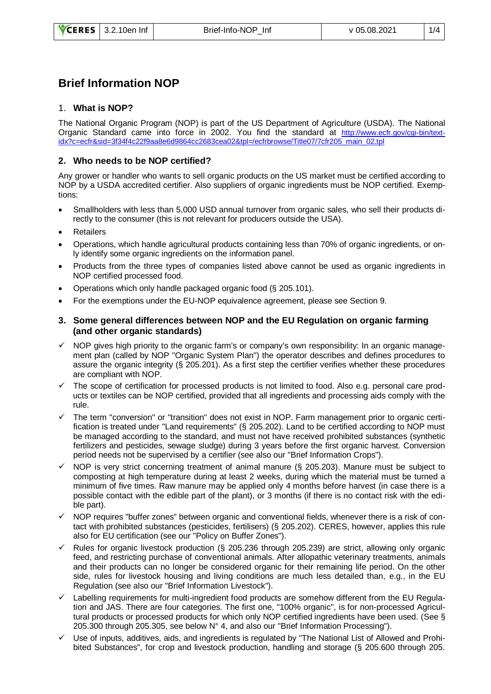# **Brief Information NOP**

## 1. **What is NOP?**

The National Organic Program (NOP) is part of the US Department of Agriculture (USDA). The National Organic Standard came into force in 2002. You find the standard at [http://www.ecfr.gov/cgi-bin/text](http://www.ecfr.gov/cgi-bin/text-idx?c=ecfr&sid=3f34f4c22f9aa8e6d9864cc2683cea02&tpl=/ecfrbrowse/Title07/7cfr205_main_02.tpl)[idx?c=ecfr&sid=3f34f4c22f9aa8e6d9864cc2683cea02&tpl=/ecfrbrowse/Title07/7cfr205\\_main\\_02.tpl](http://www.ecfr.gov/cgi-bin/text-idx?c=ecfr&sid=3f34f4c22f9aa8e6d9864cc2683cea02&tpl=/ecfrbrowse/Title07/7cfr205_main_02.tpl)

# **2. Who needs to be NOP certified?**

Any grower or handler who wants to sell organic products on the US market must be certified according to NOP by a USDA accredited certifier. Also suppliers of organic ingredients must be NOP certified. Exemptions:

- Smallholders with less than 5,000 USD annual turnover from organic sales, who sell their products directly to the consumer (this is not relevant for producers outside the USA).
- **Retailers**
- Operations, which handle agricultural products containing less than 70% of organic ingredients, or only identify some organic ingredients on the information panel.
- Products from the three types of companies listed above cannot be used as organic ingredients in NOP certified processed food.
- Operations which only handle packaged organic food (§ 205.101).
- For the exemptions under the EU-NOP equivalence agreement, please see Section 9.
- **3. Some general differences between NOP and the EU Regulation on organic farming (and other organic standards)**
- $\checkmark$  NOP gives high priority to the organic farm's or company's own responsibility: In an organic management plan (called by NOP "Organic System Plan") the operator describes and defines procedures to assure the organic integrity (§ 205.201). As a first step the certifier verifies whether these procedures are compliant with NOP.
- The scope of certification for processed products is not limited to food. Also e.g. personal care products or textiles can be NOP certified, provided that all ingredients and processing aids comply with the rule.
- The term "conversion" or "transition" does not exist in NOP. Farm management prior to organic certification is treated under "Land requirements" (§ 205.202). Land to be certified according to NOP must be managed according to the standard, and must not have received prohibited substances (synthetic fertilizers and pesticides, sewage sludge) during 3 years before the first organic harvest. Conversion period needs not be supervised by a certifier (see also our "Brief Information Crops").
- $\checkmark$  NOP is very strict concerning treatment of animal manure (§ 205.203). Manure must be subject to composting at high temperature during at least 2 weeks, during which the material must be turned a minimum of five times. Raw manure may be applied only 4 months before harvest (in case there is a possible contact with the edible part of the plant), or 3 months (if there is no contact risk with the edible part).
- $\checkmark$  NOP requires "buffer zones" between organic and conventional fields, whenever there is a risk of contact with prohibited substances (pesticides, fertilisers) (§ 205.202). CERES, however, applies this rule also for EU certification (see our "Policy on Buffer Zones").
- Rules for organic livestock production (§ 205.236 through 205.239) are strict, allowing only organic feed, and restricting purchase of conventional animals. After allopathic veterinary treatments, animals and their products can no longer be considered organic for their remaining life period. On the other side, rules for livestock housing and living conditions are much less detailed than, e.g., in the EU Regulation (see also our "Brief Information Livestock").
- ✓ Labelling requirements for multi-ingredient food products are somehow different from the EU Regulation and JAS. There are four categories. The first one, "100% organic", is for non-processed Agricultural products or processed products for which only NOP certified ingredients have been used. (See § 205.300 through 205.305, see below N° 4, and also our "Brief Information Processing").
- Use of inputs, additives, aids, and ingredients is regulated by "The National List of Allowed and Prohibited Substances", for crop and livestock production, handling and storage (§ 205.600 through 205.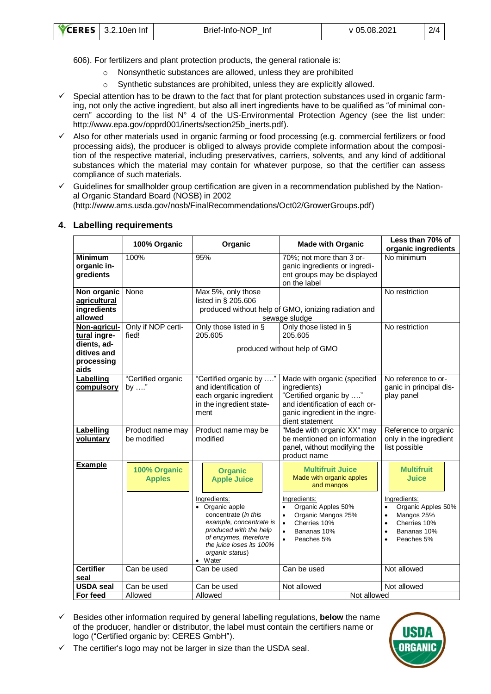| <b>YCERES</b> 3.2.10en In |  |
|---------------------------|--|
|                           |  |

606). For fertilizers and plant protection products, the general rationale is:

- o Nonsynthetic substances are allowed, unless they are prohibited
- o Synthetic substances are prohibited, unless they are explicitly allowed.
- $\checkmark$  Special attention has to be drawn to the fact that for plant protection substances used in organic farming, not only the active ingredient, but also all inert ingredients have to be qualified as "of minimal concern" according to the list N° 4 of the US-Environmental Protection Agency (see the list under: http://www.epa.gov/opprd001/inerts/section25b\_inerts.pdf).
- ✓ Also for other materials used in organic farming or food processing (e.g. commercial fertilizers or food processing aids), the producer is obliged to always provide complete information about the composition of the respective material, including preservatives, carriers, solvents, and any kind of additional substances which the material may contain for whatever purpose, so that the certifier can assess compliance of such materials.
- $\checkmark$  Guidelines for smallholder group certification are given in a recommendation published by the National Organic Standard Board (NOSB) in 2002 [\(http://www.ams.usda.gov/nosb/FinalRecommendations/Oct02/GrowerGroups.pdf\)](http://www.ams.usda.gov/nosb/FinalRecommendations/Oct02/GrowerGroups.pdf)

|                                                                                  | 100% Organic                       | Organic                                                                                                                                                                                                                                         | <b>Made with Organic</b>                                                                                                                                                                                                       | Less than 70% of<br>organic ingredients                                                                                                                                                      |
|----------------------------------------------------------------------------------|------------------------------------|-------------------------------------------------------------------------------------------------------------------------------------------------------------------------------------------------------------------------------------------------|--------------------------------------------------------------------------------------------------------------------------------------------------------------------------------------------------------------------------------|----------------------------------------------------------------------------------------------------------------------------------------------------------------------------------------------|
| <b>Minimum</b><br>organic in-<br>gredients                                       | 100%                               | 95%                                                                                                                                                                                                                                             | 70%; not more than 3 or-<br>ganic ingredients or ingredi-<br>ent groups may be displayed<br>on the label                                                                                                                       | No minimum                                                                                                                                                                                   |
| Non organic<br>agricultural<br><i>ingredients</i><br>allowed                     | None                               | Max 5%, only those<br>listed in § 205.606<br>produced without help of GMO, ionizing radiation and<br>sewage sludge                                                                                                                              |                                                                                                                                                                                                                                | No restriction                                                                                                                                                                               |
| Non-agricul-<br>tural ingre-<br>dients, ad-<br>ditives and<br>processing<br>aids | Only if NOP certi-<br>fied!        | Only those listed in §<br>Only those listed in §<br>205.605<br>205.605<br>produced without help of GMO                                                                                                                                          |                                                                                                                                                                                                                                | No restriction                                                                                                                                                                               |
| Labelling<br>compulsory                                                          | "Certified organic<br>by $\dots$ " | "Certified organic by "<br>and identification of<br>each organic ingredient<br>in the ingredient state-<br>ment                                                                                                                                 | Made with organic (specified<br>ingredients)<br>"Certified organic by "<br>and identification of each or-<br>ganic ingredient in the ingre-<br>dient statement                                                                 | No reference to or-<br>ganic in principal dis-<br>play panel                                                                                                                                 |
| Labelling<br>voluntary                                                           | Product name may<br>be modified    | Product name may be<br>modified                                                                                                                                                                                                                 | "Made with organic XX" may<br>be mentioned on information<br>panel, without modifying the<br>product name                                                                                                                      | Reference to organic<br>only in the ingredient<br>list possible                                                                                                                              |
| <b>Example</b>                                                                   | 100% Organic<br><b>Apples</b>      | <b>Organic</b><br><b>Apple Juice</b><br>Ingredients:<br>• Organic apple<br>concentrate (in this<br>example, concentrate is<br>produced with the help<br>of enzymes, therefore<br>the juice loses its 100%<br>organic status)<br>$\bullet$ Water | <b>Multifruit Juice</b><br>Made with organic apples<br>and mangos<br>Ingredients:<br>Organic Apples 50%<br>$\bullet$<br>Organic Mangos 25%<br>$\bullet$<br>Cherries 10%<br>$\bullet$<br>Bananas 10%<br>$\bullet$<br>Peaches 5% | <b>Multifruit</b><br>Juice<br>Ingredients:<br>Organic Apples 50%<br>$\bullet$<br>Mangos 25%<br>$\bullet$<br>Cherries 10%<br>$\bullet$<br>Bananas 10%<br>$\bullet$<br>Peaches 5%<br>$\bullet$ |
| <b>Certifier</b><br>seal                                                         | Can be used                        | Can be used                                                                                                                                                                                                                                     | Can be used                                                                                                                                                                                                                    | Not allowed                                                                                                                                                                                  |
| <b>USDA</b> seal<br>For feed                                                     | Can be used                        | Can be used                                                                                                                                                                                                                                     | Not allowed                                                                                                                                                                                                                    | Not allowed                                                                                                                                                                                  |
|                                                                                  | Allowed                            | Allowed                                                                                                                                                                                                                                         | Not allowed                                                                                                                                                                                                                    |                                                                                                                                                                                              |

## **4. Labelling requirements**

✓ Besides other information required by general labelling regulations, **below** the name of the producer, handler or distributor, the label must contain the certifiers name or logo ("Certified organic by: CERES GmbH").



 $\checkmark$  The certifier's logo may not be larger in size than the USDA seal.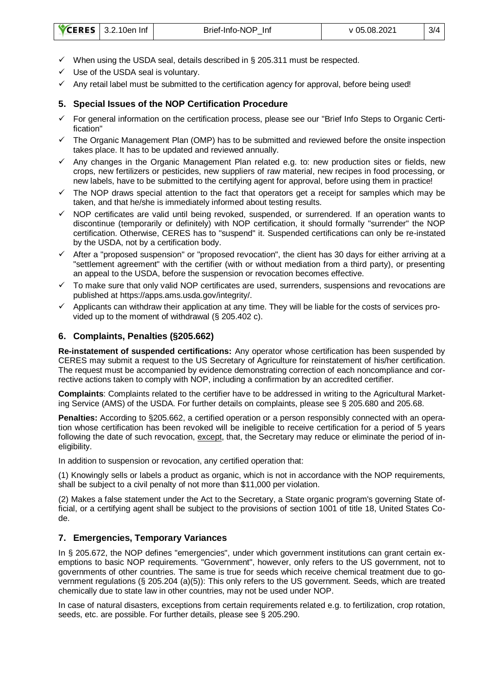| <b>VCERES</b> | 3.2.10en Inf | Brief-Info-NOP<br>Int | v 05.08.2021 | 3/4 |
|---------------|--------------|-----------------------|--------------|-----|
|               |              |                       |              |     |

- $\checkmark$  When using the USDA seal, details described in § 205.311 must be respected.
- $\checkmark$  Use of the USDA seal is voluntary.
- ✓ Any retail label must be submitted to the certification agency for approval, before being used!

## **5. Special Issues of the NOP Certification Procedure**

- ✓ For general information on the certification process, please see our "Brief Info Steps to Organic Certification"
- The Organic Management Plan (OMP) has to be submitted and reviewed before the onsite inspection takes place. It has to be updated and reviewed annually.
- ✓ Any changes in the Organic Management Plan related e.g. to: new production sites or fields, new crops, new fertilizers or pesticides, new suppliers of raw material, new recipes in food processing, or new labels, have to be submitted to the certifying agent for approval, before using them in practice!
- The NOP draws special attention to the fact that operators get a receipt for samples which may be taken, and that he/she is immediately informed about testing results.
- NOP certificates are valid until being revoked, suspended, or surrendered. If an operation wants to discontinue (temporarily or definitely) with NOP certification, it should formally "surrender" the NOP certification. Otherwise, CERES has to "suspend" it. Suspended certifications can only be re-instated by the USDA, not by a certification body.
- After a "proposed suspension" or "proposed revocation", the client has 30 days for either arriving at a "settlement agreement" with the certifier (with or without mediation from a third party), or presenting an appeal to the USDA, before the suspension or revocation becomes effective.
- To make sure that only valid NOP certificates are used, surrenders, suspensions and revocations are published at https://apps.ams.usda.gov/integrity/.
- Applicants can withdraw their application at any time. They will be liable for the costs of services provided up to the moment of withdrawal (§ 205.402 c).

## **6. Complaints, Penalties (§205.662)**

**Re-instatement of suspended certifications:** Any operator whose certification has been suspended by CERES may submit a request to the US Secretary of Agriculture for reinstatement of his/her certification. The request must be accompanied by evidence demonstrating correction of each noncompliance and corrective actions taken to comply with NOP, including a confirmation by an accredited certifier.

**Complaints**: Complaints related to the certifier have to be addressed in writing to the Agricultural Marketing Service (AMS) of the USDA. For further details on complaints, please see § 205.680 and 205.68.

**Penalties:** According to §205.662, a certified operation or a person responsibly connected with an operation whose certification has been revoked will be ineligible to receive certification for a period of 5 years following the date of such revocation, except, that, the Secretary may reduce or eliminate the period of ineligibility.

In addition to suspension or revocation, any certified operation that:

(1) Knowingly sells or labels a product as organic, which is not in accordance with the NOP requirements, shall be subject to a civil penalty of not more than \$11,000 per violation.

(2) Makes a false statement under the Act to the Secretary, a State organic program's governing State official, or a certifying agent shall be subject to the provisions of section 1001 of title 18, United States Code.

## **7. Emergencies, Temporary Variances**

In § 205.672, the NOP defines "emergencies", under which government institutions can grant certain exemptions to basic NOP requirements. "Government", however, only refers to the US government, not to governments of other countries. The same is true for seeds which receive chemical treatment due to government regulations (§ 205.204 (a)(5)): This only refers to the US government. Seeds, which are treated chemically due to state law in other countries, may not be used under NOP.

In case of natural disasters, exceptions from certain requirements related e.g. to fertilization, crop rotation, seeds, etc. are possible. For further details, please see § 205.290.